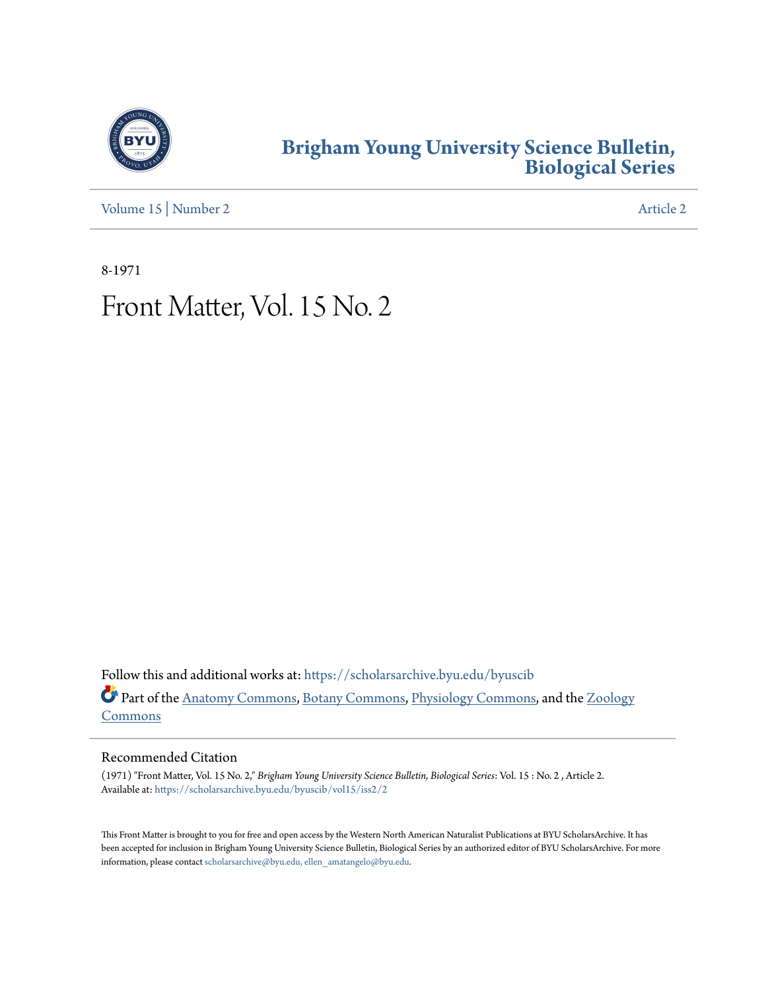

## **[Brigham Young University Science Bulletin,](https://scholarsarchive.byu.edu/byuscib?utm_source=scholarsarchive.byu.edu%2Fbyuscib%2Fvol15%2Fiss2%2F2&utm_medium=PDF&utm_campaign=PDFCoverPages) [Biological Series](https://scholarsarchive.byu.edu/byuscib?utm_source=scholarsarchive.byu.edu%2Fbyuscib%2Fvol15%2Fiss2%2F2&utm_medium=PDF&utm_campaign=PDFCoverPages)**

[Volume 15](https://scholarsarchive.byu.edu/byuscib/vol15?utm_source=scholarsarchive.byu.edu%2Fbyuscib%2Fvol15%2Fiss2%2F2&utm_medium=PDF&utm_campaign=PDFCoverPages) | [Number 2](https://scholarsarchive.byu.edu/byuscib/vol15/iss2?utm_source=scholarsarchive.byu.edu%2Fbyuscib%2Fvol15%2Fiss2%2F2&utm_medium=PDF&utm_campaign=PDFCoverPages) [Article 2](https://scholarsarchive.byu.edu/byuscib/vol15/iss2/2?utm_source=scholarsarchive.byu.edu%2Fbyuscib%2Fvol15%2Fiss2%2F2&utm_medium=PDF&utm_campaign=PDFCoverPages)

8-1971

# Front Matter, Vol. 15 No. 2

Follow this and additional works at: [https://scholarsarchive.byu.edu/byuscib](https://scholarsarchive.byu.edu/byuscib?utm_source=scholarsarchive.byu.edu%2Fbyuscib%2Fvol15%2Fiss2%2F2&utm_medium=PDF&utm_campaign=PDFCoverPages) Part of the [Anatomy Commons](http://network.bepress.com/hgg/discipline/903?utm_source=scholarsarchive.byu.edu%2Fbyuscib%2Fvol15%2Fiss2%2F2&utm_medium=PDF&utm_campaign=PDFCoverPages), [Botany Commons](http://network.bepress.com/hgg/discipline/104?utm_source=scholarsarchive.byu.edu%2Fbyuscib%2Fvol15%2Fiss2%2F2&utm_medium=PDF&utm_campaign=PDFCoverPages), [Physiology Commons,](http://network.bepress.com/hgg/discipline/69?utm_source=scholarsarchive.byu.edu%2Fbyuscib%2Fvol15%2Fiss2%2F2&utm_medium=PDF&utm_campaign=PDFCoverPages) and the [Zoology](http://network.bepress.com/hgg/discipline/81?utm_source=scholarsarchive.byu.edu%2Fbyuscib%2Fvol15%2Fiss2%2F2&utm_medium=PDF&utm_campaign=PDFCoverPages) [Commons](http://network.bepress.com/hgg/discipline/81?utm_source=scholarsarchive.byu.edu%2Fbyuscib%2Fvol15%2Fiss2%2F2&utm_medium=PDF&utm_campaign=PDFCoverPages)

### Recommended Citation

(1971) "Front Matter, Vol. 15 No. 2," *Brigham Young University Science Bulletin, Biological Series*: Vol. 15 : No. 2 , Article 2. Available at: [https://scholarsarchive.byu.edu/byuscib/vol15/iss2/2](https://scholarsarchive.byu.edu/byuscib/vol15/iss2/2?utm_source=scholarsarchive.byu.edu%2Fbyuscib%2Fvol15%2Fiss2%2F2&utm_medium=PDF&utm_campaign=PDFCoverPages)

This Front Matter is brought to you for free and open access by the Western North American Naturalist Publications at BYU ScholarsArchive. It has been accepted for inclusion in Brigham Young University Science Bulletin, Biological Series by an authorized editor of BYU ScholarsArchive. For more information, please contact [scholarsarchive@byu.edu, ellen\\_amatangelo@byu.edu](mailto:scholarsarchive@byu.edu,%20ellen_amatangelo@byu.edu).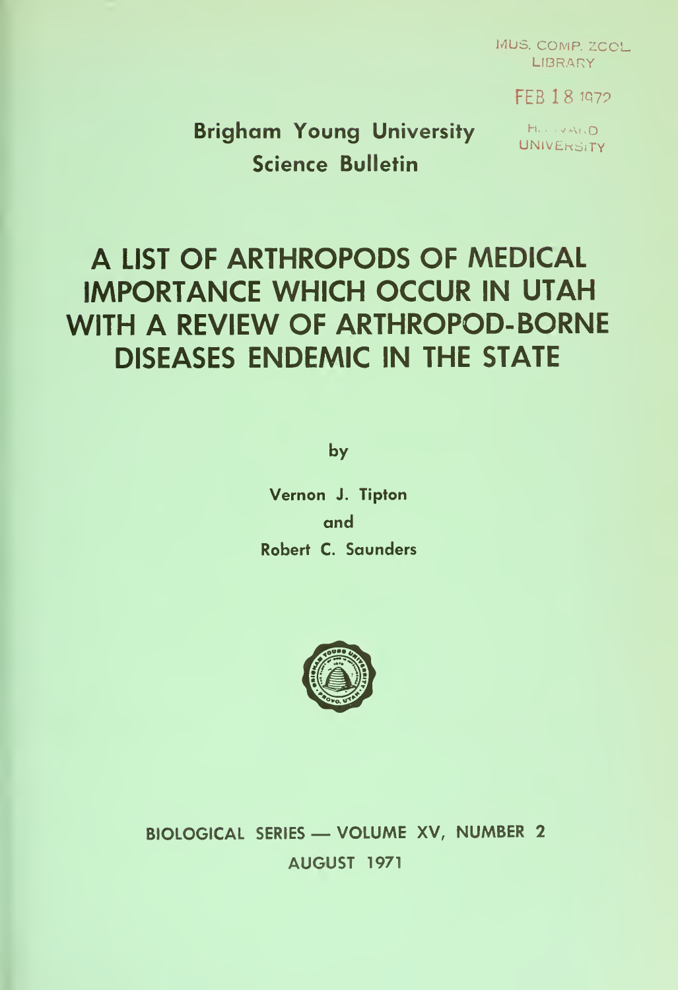MUS. COMP. ZCOL. LIBRARY **.** 

FEB 18 1972

Brigham Young University Houses Science Bulletin

# A LIST OF ARTHROPODS OF MEDICAL IMPORTANCE WHICH OCCUR IN UTAH WITH A REVIEW OF ARTHROPOD-BORNE DISEASES ENDEMIC IN THE STATE

by

Vernon J. Tipton and Robert C. Saunders



BIOLOGICAL SERIES — VOLUME XV, NUMBER <sup>2</sup> AUGUST 1971